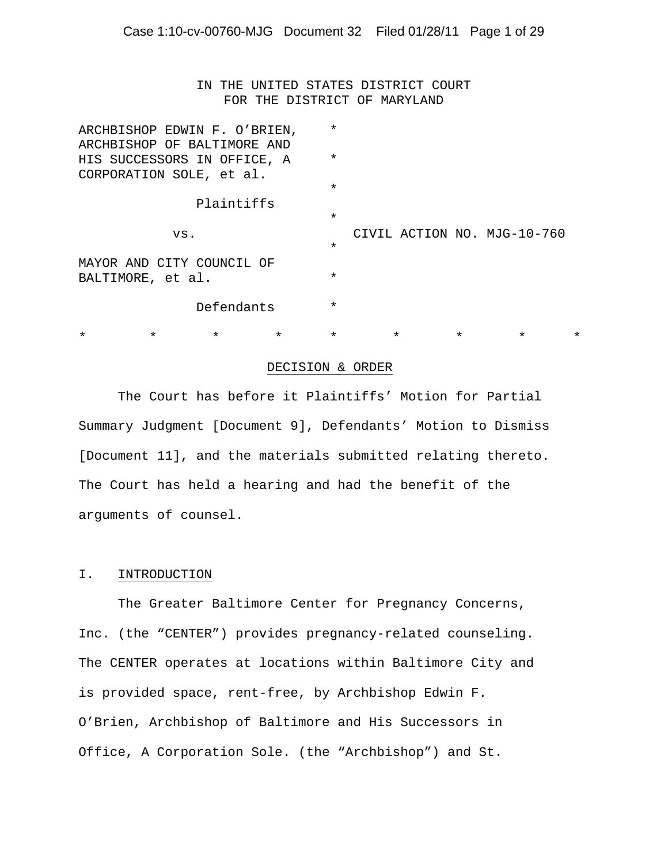IN THE UNITED STATES DISTRICT COURT FOR THE DISTRICT OF MARYLAND

|                                                              |          | ARCHBISHOP EDWIN F. O'BRIEN,<br>ARCHBISHOP OF BALTIMORE AND |         | $\star$ |         |         |                             |          |
|--------------------------------------------------------------|----------|-------------------------------------------------------------|---------|---------|---------|---------|-----------------------------|----------|
| HIS SUCCESSORS IN OFFICE, A<br>CORPORATION SOLE, et al.      | $^\star$ |                                                             |         |         |         |         |                             |          |
|                                                              |          |                                                             |         | $\star$ |         |         |                             |          |
| Plaintiffs                                                   |          |                                                             |         |         |         |         |                             |          |
|                                                              |          |                                                             |         | $\star$ |         |         |                             |          |
| VS.                                                          |          |                                                             |         | $\star$ |         |         | CIVIL ACTION NO. MJG-10-760 |          |
| MAYOR AND CITY COUNCIL OF<br>BALTIMORE, et al.<br>Defendants |          |                                                             |         | $\star$ |         |         |                             |          |
|                                                              |          |                                                             |         | $\star$ |         |         |                             |          |
| $\star$                                                      | $\star$  | $\star$                                                     | $\star$ | $\star$ | $\star$ | $\star$ | $\star$                     | $^\star$ |

#### DECISION & ORDER

The Court has before it Plaintiffs' Motion for Partial Summary Judgment [Document 9], Defendants' Motion to Dismiss [Document 11], and the materials submitted relating thereto. The Court has held a hearing and had the benefit of the arguments of counsel.

#### I. INTRODUCTION

The Greater Baltimore Center for Pregnancy Concerns, Inc. (the "CENTER") provides pregnancy-related counseling. The CENTER operates at locations within Baltimore City and is provided space, rent-free, by Archbishop Edwin F. O'Brien, Archbishop of Baltimore and His Successors in Office, A Corporation Sole. (the "Archbishop") and St.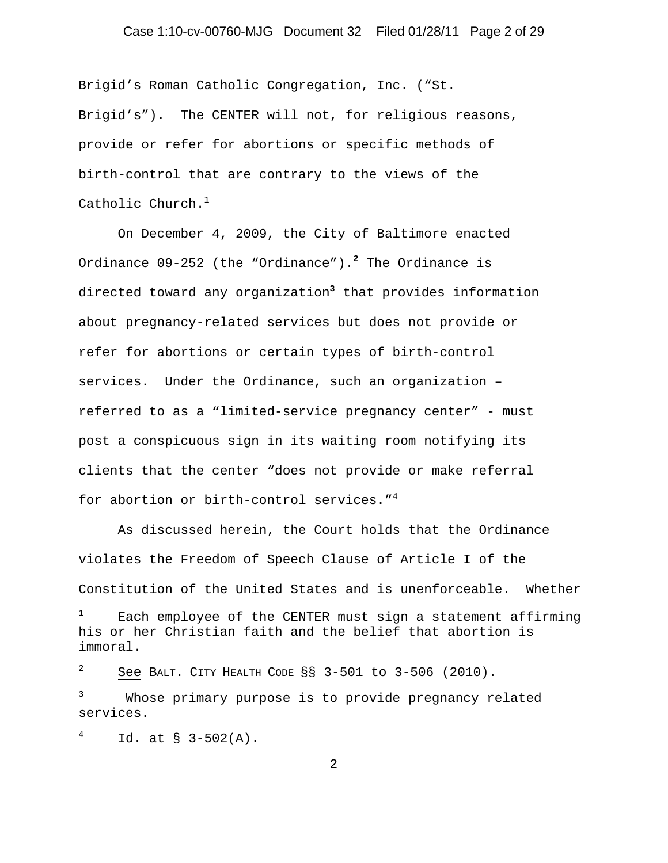# Case 1:10-cv-00760-MJG Document 32 Filed 01/28/11 Page 2 of 29

Brigid's Roman Catholic Congregation, Inc. ("St. Brigid's"). The CENTER will not, for religious reasons, provide or refer for abortions or specific methods of birth-control that are contrary to the views of the Catholic Church. $^{\rm 1}$ 

On December 4, 2009, the City of Baltimore enacted Ordinance 09-252 (the "Ordinance").**<sup>2</sup>** The Ordinance is directed toward any organization**<sup>3</sup>** that provides information about pregnancy-related services but does not provide or refer for abortions or certain types of birth-control services. Under the Ordinance, such an organization – referred to as a "limited-service pregnancy center" - must post a conspicuous sign in its waiting room notifying its clients that the center "does not provide or make referral for abortion or birth-control services."<sup>4</sup>

 As discussed herein, the Court holds that the Ordinance violates the Freedom of Speech Clause of Article I of the Constitution of the United States and is unenforceable. Whether

3 Whose primary purpose is to provide pregnancy related services.

Id. at § 3-502(A).

 $\overline{a}$ 

4

<sup>1</sup> Each employee of the CENTER must sign a statement affirming his or her Christian faith and the belief that abortion is immoral.

<sup>2</sup> See BALT. CITY HEALTH CODE §§ 3-501 to 3-506 (2010).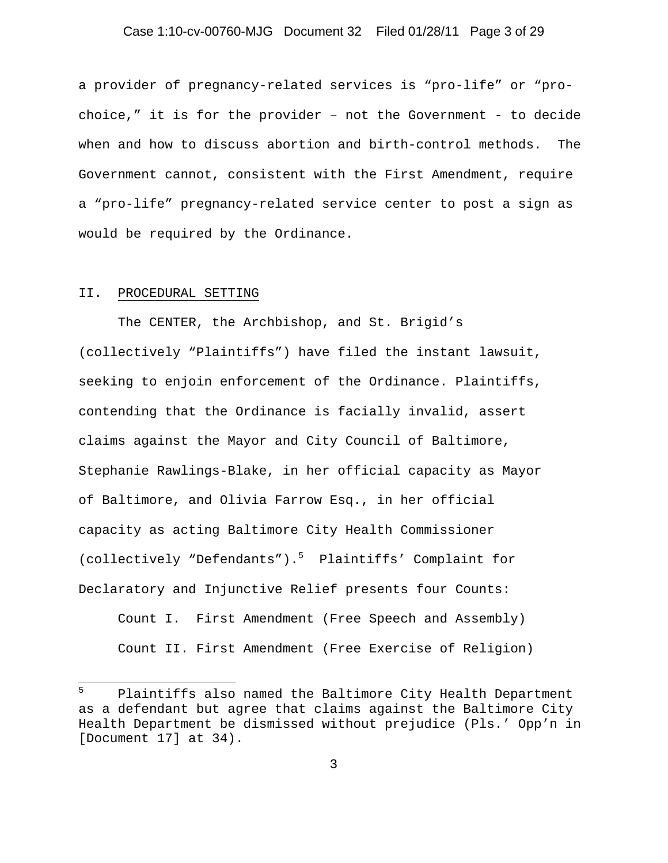# Case 1:10-cv-00760-MJG Document 32 Filed 01/28/11 Page 3 of 29

a provider of pregnancy-related services is "pro-life" or "prochoice," it is for the provider – not the Government - to decide when and how to discuss abortion and birth-control methods. The Government cannot, consistent with the First Amendment, require a "pro-life" pregnancy-related service center to post a sign as would be required by the Ordinance.

#### II. PROCEDURAL SETTING

 $\overline{a}$ 

The CENTER, the Archbishop, and St. Brigid's (collectively "Plaintiffs") have filed the instant lawsuit, seeking to enjoin enforcement of the Ordinance. Plaintiffs, contending that the Ordinance is facially invalid, assert claims against the Mayor and City Council of Baltimore, Stephanie Rawlings-Blake, in her official capacity as Mayor of Baltimore, and Olivia Farrow Esq., in her official capacity as acting Baltimore City Health Commissioner (collectively "Defendants").<sup>5</sup> Plaintiffs' Complaint for Declaratory and Injunctive Relief presents four Counts:

Count I. First Amendment (Free Speech and Assembly) Count II. First Amendment (Free Exercise of Religion)

<sup>5</sup> Plaintiffs also named the Baltimore City Health Department as a defendant but agree that claims against the Baltimore City Health Department be dismissed without prejudice (Pls.' Opp'n in [Document 17] at 34).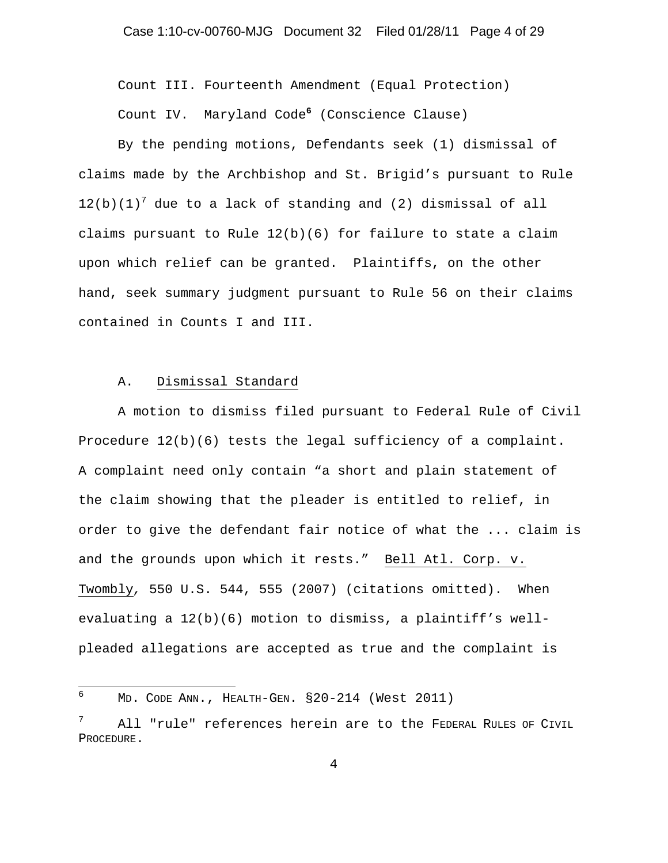Count III. Fourteenth Amendment (Equal Protection) Count IV. Maryland Code**<sup>6</sup>** (Conscience Clause)

 By the pending motions, Defendants seek (1) dismissal of claims made by the Archbishop and St. Brigid's pursuant to Rule  $12(b)(1)^7$  due to a lack of standing and (2) dismissal of all claims pursuant to Rule 12(b)(6) for failure to state a claim upon which relief can be granted. Plaintiffs, on the other hand, seek summary judgment pursuant to Rule 56 on their claims contained in Counts I and III.

#### A. Dismissal Standard

A motion to dismiss filed pursuant to Federal Rule of Civil Procedure 12(b)(6) tests the legal sufficiency of a complaint. A complaint need only contain "a short and plain statement of the claim showing that the pleader is entitled to relief, in order to give the defendant fair notice of what the ... claim is and the grounds upon which it rests." Bell Atl. Corp. v. Twombly*,* 550 U.S. 544, 555 (2007) (citations omitted). When evaluating a 12(b)(6) motion to dismiss, a plaintiff's wellpleaded allegations are accepted as true and the complaint is

 6 MD. CODE ANN., HEALTH-GEN. §20-214 (West 2011)

<sup>7</sup> All "rule" references herein are to the FEDERAL RULES OF CIVIL PROCEDURE.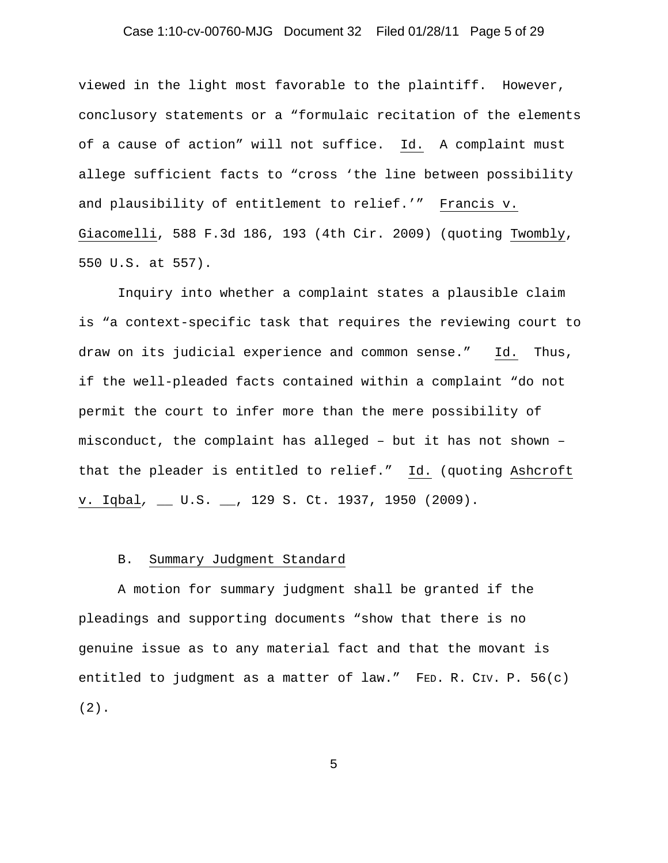# Case 1:10-cv-00760-MJG Document 32 Filed 01/28/11 Page 5 of 29

viewed in the light most favorable to the plaintiff. However, conclusory statements or a "formulaic recitation of the elements of a cause of action" will not suffice. Id. A complaint must allege sufficient facts to "cross 'the line between possibility and plausibility of entitlement to relief.'" Francis v. Giacomelli, 588 F.3d 186, 193 (4th Cir. 2009) (quoting Twombly, 550 U.S. at 557).

Inquiry into whether a complaint states a plausible claim is "a context-specific task that requires the reviewing court to draw on its judicial experience and common sense." Id. Thus, if the well-pleaded facts contained within a complaint "do not permit the court to infer more than the mere possibility of misconduct, the complaint has alleged – but it has not shown – that the pleader is entitled to relief." Id. (quoting Ashcroft v. Iqbal*,* \_\_ U.S. \_\_, 129 S. Ct. 1937, 1950 (2009).

### B. Summary Judgment Standard

A motion for summary judgment shall be granted if the pleadings and supporting documents "show that there is no genuine issue as to any material fact and that the movant is entitled to judgment as a matter of law." FED. R. CIV. P. 56(c) (2).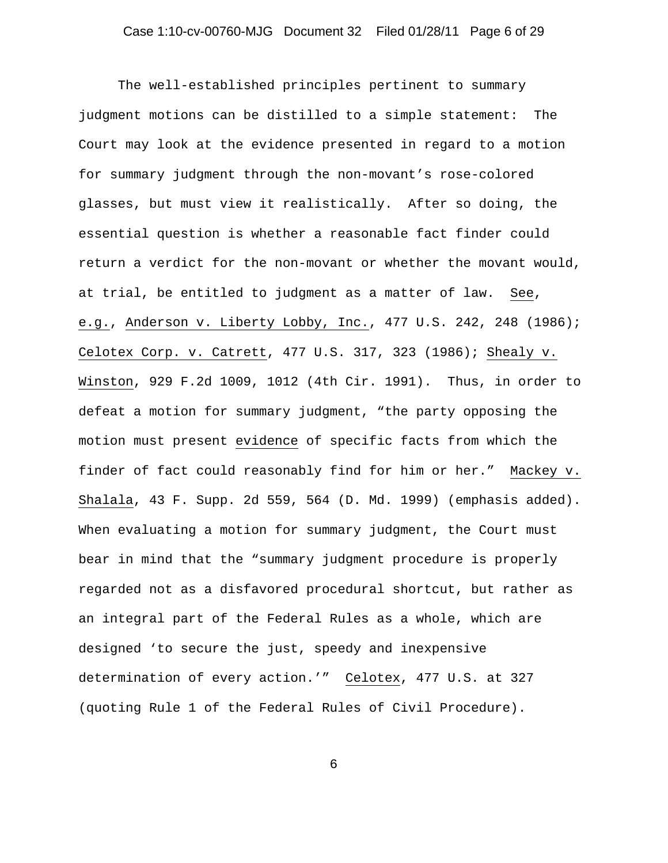# Case 1:10-cv-00760-MJG Document 32 Filed 01/28/11 Page 6 of 29

The well-established principles pertinent to summary judgment motions can be distilled to a simple statement: The Court may look at the evidence presented in regard to a motion for summary judgment through the non-movant's rose-colored glasses, but must view it realistically. After so doing, the essential question is whether a reasonable fact finder could return a verdict for the non-movant or whether the movant would, at trial, be entitled to judgment as a matter of law. See, e.g., Anderson v. Liberty Lobby, Inc., 477 U.S. 242, 248 (1986); Celotex Corp. v. Catrett, 477 U.S. 317, 323 (1986); Shealy v. Winston, 929 F.2d 1009, 1012 (4th Cir. 1991). Thus, in order to defeat a motion for summary judgment, "the party opposing the motion must present evidence of specific facts from which the finder of fact could reasonably find for him or her." Mackey v. Shalala, 43 F. Supp. 2d 559, 564 (D. Md. 1999) (emphasis added). When evaluating a motion for summary judgment, the Court must bear in mind that the "summary judgment procedure is properly regarded not as a disfavored procedural shortcut, but rather as an integral part of the Federal Rules as a whole, which are designed 'to secure the just, speedy and inexpensive determination of every action.'" Celotex, 477 U.S. at 327 (quoting Rule 1 of the Federal Rules of Civil Procedure).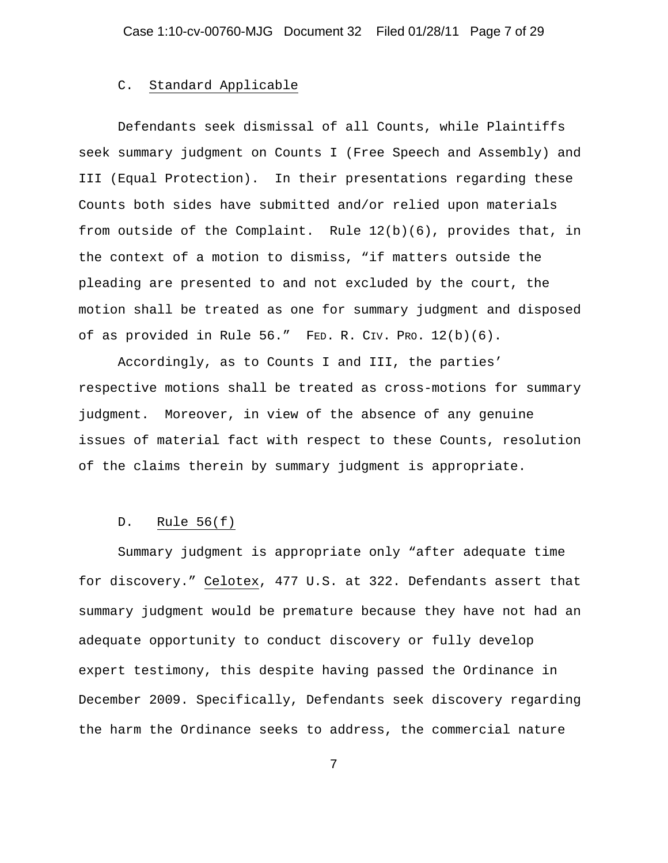#### C. Standard Applicable

 Defendants seek dismissal of all Counts, while Plaintiffs seek summary judgment on Counts I (Free Speech and Assembly) and III (Equal Protection). In their presentations regarding these Counts both sides have submitted and/or relied upon materials from outside of the Complaint. Rule  $12(b)(6)$ , provides that, in the context of a motion to dismiss, "if matters outside the pleading are presented to and not excluded by the court, the motion shall be treated as one for summary judgment and disposed of as provided in Rule 56." FED. R. CIV. PRO. 12(b)(6).

 Accordingly, as to Counts I and III, the parties' respective motions shall be treated as cross-motions for summary judgment. Moreover, in view of the absence of any genuine issues of material fact with respect to these Counts, resolution of the claims therein by summary judgment is appropriate.

#### D. Rule 56(f)

Summary judgment is appropriate only "after adequate time for discovery." Celotex, 477 U.S. at 322. Defendants assert that summary judgment would be premature because they have not had an adequate opportunity to conduct discovery or fully develop expert testimony, this despite having passed the Ordinance in December 2009. Specifically, Defendants seek discovery regarding the harm the Ordinance seeks to address, the commercial nature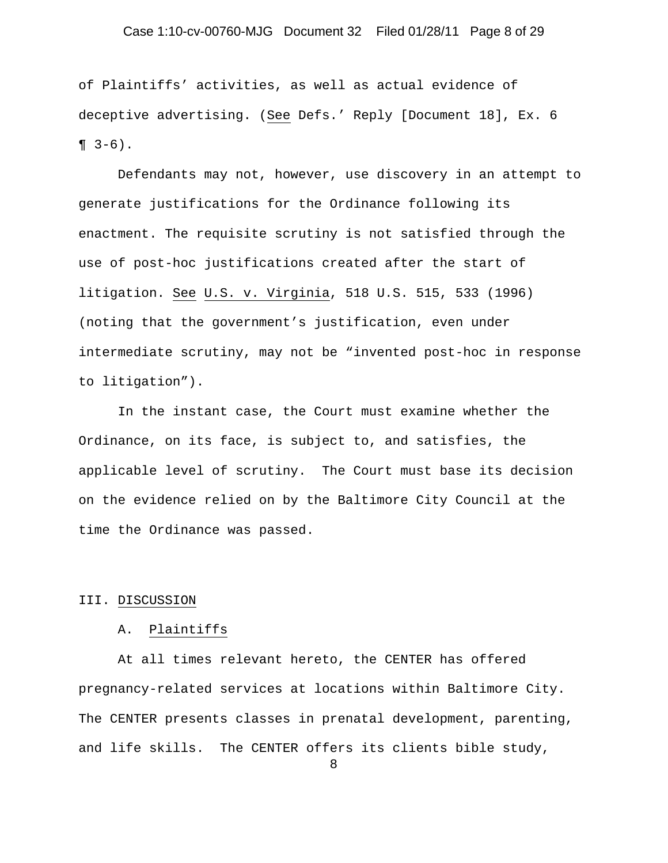# Case 1:10-cv-00760-MJG Document 32 Filed 01/28/11 Page 8 of 29

of Plaintiffs' activities, as well as actual evidence of deceptive advertising. (See Defs.' Reply [Document 18], Ex. 6  $\P$  3-6).

Defendants may not, however, use discovery in an attempt to generate justifications for the Ordinance following its enactment. The requisite scrutiny is not satisfied through the use of post-hoc justifications created after the start of litigation. See U.S. v. Virginia, 518 U.S. 515, 533 (1996) (noting that the government's justification, even under intermediate scrutiny, may not be "invented post-hoc in response to litigation").

In the instant case, the Court must examine whether the Ordinance, on its face, is subject to, and satisfies, the applicable level of scrutiny. The Court must base its decision on the evidence relied on by the Baltimore City Council at the time the Ordinance was passed.

#### III. DISCUSSION

#### A. Plaintiffs

At all times relevant hereto, the CENTER has offered pregnancy-related services at locations within Baltimore City. The CENTER presents classes in prenatal development, parenting, and life skills. The CENTER offers its clients bible study,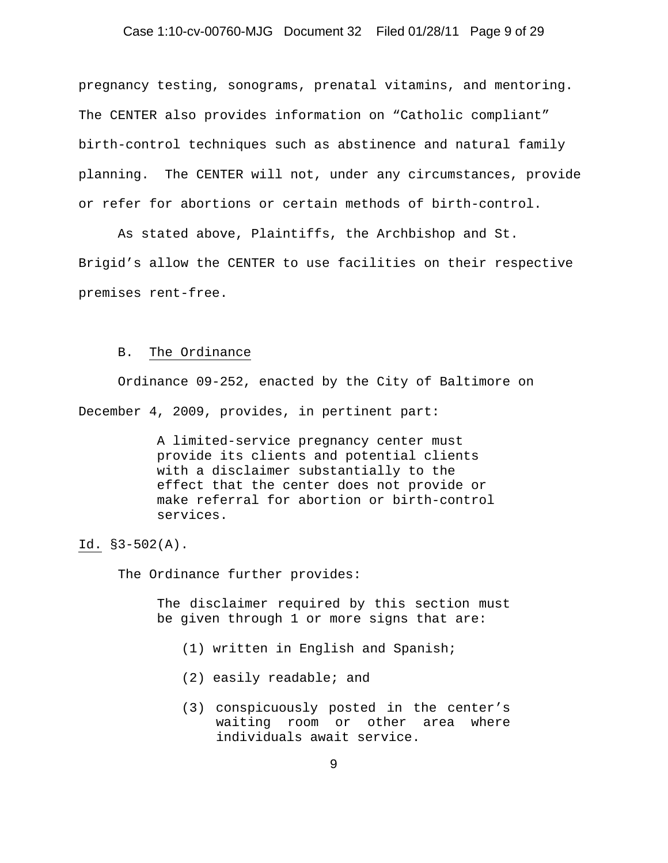# Case 1:10-cv-00760-MJG Document 32 Filed 01/28/11 Page 9 of 29

pregnancy testing, sonograms, prenatal vitamins, and mentoring. The CENTER also provides information on "Catholic compliant" birth-control techniques such as abstinence and natural family planning. The CENTER will not, under any circumstances, provide or refer for abortions or certain methods of birth-control.

As stated above, Plaintiffs, the Archbishop and St. Brigid's allow the CENTER to use facilities on their respective premises rent-free.

#### B. The Ordinance

Ordinance 09-252, enacted by the City of Baltimore on December 4, 2009, provides, in pertinent part:

> A limited-service pregnancy center must provide its clients and potential clients with a disclaimer substantially to the effect that the center does not provide or make referral for abortion or birth-control services.

Id. §3-502(A).

The Ordinance further provides:

The disclaimer required by this section must be given through 1 or more signs that are:

- (1) written in English and Spanish;
- (2) easily readable; and
- (3) conspicuously posted in the center's waiting room or other area where individuals await service.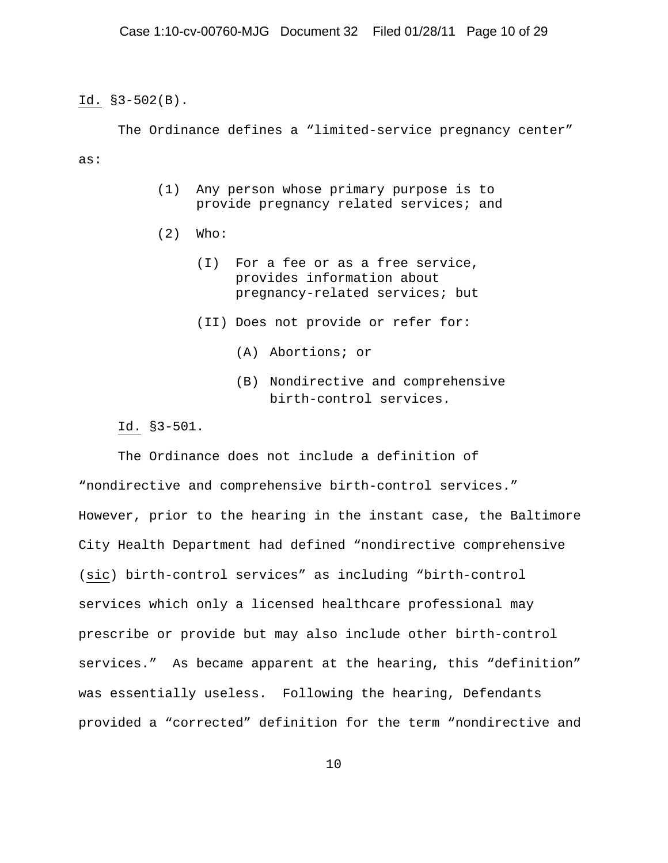Id. §3-502(B).

The Ordinance defines a "limited-service pregnancy center"

as:

- (1) Any person whose primary purpose is to provide pregnancy related services; and
- (2) Who:
	- (I) For a fee or as a free service, provides information about pregnancy-related services; but
	- (II) Does not provide or refer for:
		- (A) Abortions; or
		- (B) Nondirective and comprehensive birth-control services.

Id. §3-501.

 The Ordinance does not include a definition of "nondirective and comprehensive birth-control services." However, prior to the hearing in the instant case, the Baltimore City Health Department had defined "nondirective comprehensive (sic) birth-control services" as including "birth-control services which only a licensed healthcare professional may prescribe or provide but may also include other birth-control services." As became apparent at the hearing, this "definition" was essentially useless. Following the hearing, Defendants provided a "corrected" definition for the term "nondirective and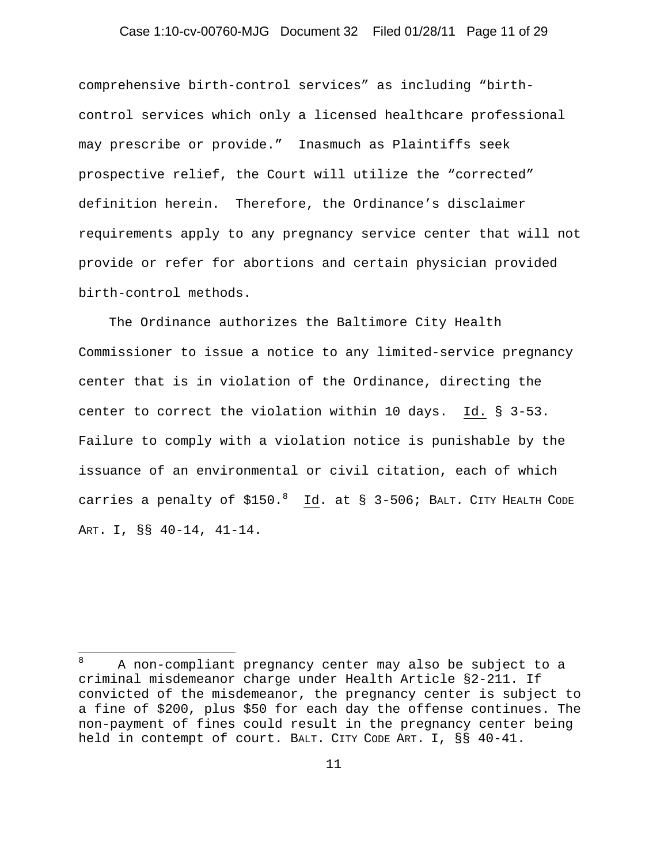#### Case 1:10-cv-00760-MJG Document 32 Filed 01/28/11 Page 11 of 29

comprehensive birth-control services" as including "birthcontrol services which only a licensed healthcare professional may prescribe or provide." Inasmuch as Plaintiffs seek prospective relief, the Court will utilize the "corrected" definition herein. Therefore, the Ordinance's disclaimer requirements apply to any pregnancy service center that will not provide or refer for abortions and certain physician provided birth-control methods.

 The Ordinance authorizes the Baltimore City Health Commissioner to issue a notice to any limited-service pregnancy center that is in violation of the Ordinance, directing the center to correct the violation within 10 days. Id. § 3-53. Failure to comply with a violation notice is punishable by the issuance of an environmental or civil citation, each of which carries a penalty of \$150.8 Id. at § 3-506; BALT. CITY HEALTH CODE ART. I, §§ 40-14, 41-14.

 $\overline{a}$ 

<sup>8</sup> A non-compliant pregnancy center may also be subject to a criminal misdemeanor charge under Health Article §2-211. If convicted of the misdemeanor, the pregnancy center is subject to a fine of \$200, plus \$50 for each day the offense continues. The non-payment of fines could result in the pregnancy center being held in contempt of court. BALT. CITY CODE ART. I, §§ 40-41.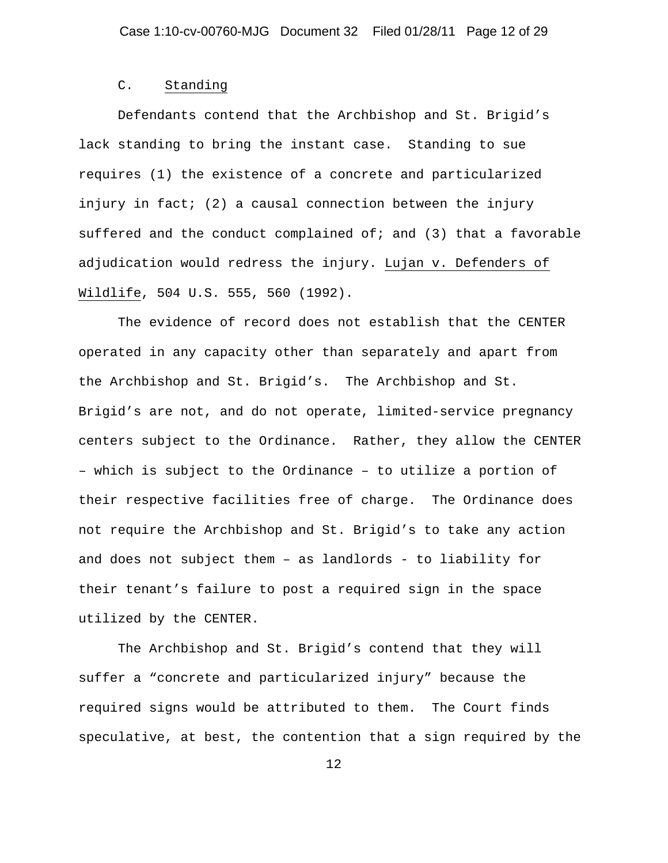#### C. Standing

Defendants contend that the Archbishop and St. Brigid's lack standing to bring the instant case. Standing to sue requires (1) the existence of a concrete and particularized injury in fact; (2) a causal connection between the injury suffered and the conduct complained of; and  $(3)$  that a favorable adjudication would redress the injury. Lujan v. Defenders of Wildlife, 504 U.S. 555, 560 (1992).

The evidence of record does not establish that the CENTER operated in any capacity other than separately and apart from the Archbishop and St. Brigid's. The Archbishop and St. Brigid's are not, and do not operate, limited-service pregnancy centers subject to the Ordinance. Rather, they allow the CENTER – which is subject to the Ordinance – to utilize a portion of their respective facilities free of charge. The Ordinance does not require the Archbishop and St. Brigid's to take any action and does not subject them – as landlords - to liability for their tenant's failure to post a required sign in the space utilized by the CENTER.

The Archbishop and St. Brigid's contend that they will suffer a "concrete and particularized injury" because the required signs would be attributed to them. The Court finds speculative, at best, the contention that a sign required by the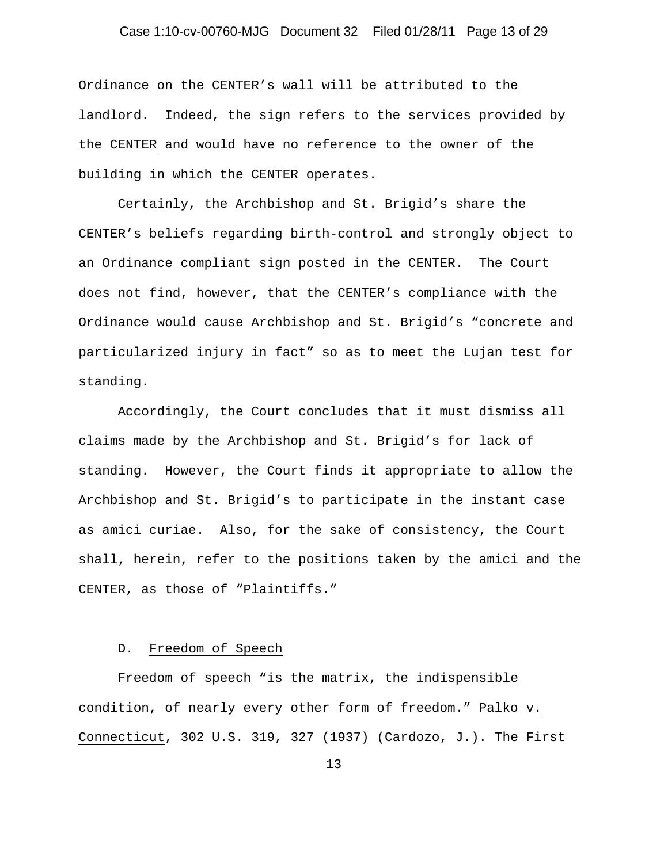# Case 1:10-cv-00760-MJG Document 32 Filed 01/28/11 Page 13 of 29

Ordinance on the CENTER's wall will be attributed to the landlord. Indeed, the sign refers to the services provided by the CENTER and would have no reference to the owner of the building in which the CENTER operates.

Certainly, the Archbishop and St. Brigid's share the CENTER's beliefs regarding birth-control and strongly object to an Ordinance compliant sign posted in the CENTER. The Court does not find, however, that the CENTER's compliance with the Ordinance would cause Archbishop and St. Brigid's "concrete and particularized injury in fact" so as to meet the Lujan test for standing.

Accordingly, the Court concludes that it must dismiss all claims made by the Archbishop and St. Brigid's for lack of standing. However, the Court finds it appropriate to allow the Archbishop and St. Brigid's to participate in the instant case as amici curiae. Also, for the sake of consistency, the Court shall, herein, refer to the positions taken by the amici and the CENTER, as those of "Plaintiffs."

#### D. Freedom of Speech

Freedom of speech "is the matrix, the indispensible condition, of nearly every other form of freedom." Palko v. Connecticut, 302 U.S. 319, 327 (1937) (Cardozo, J.). The First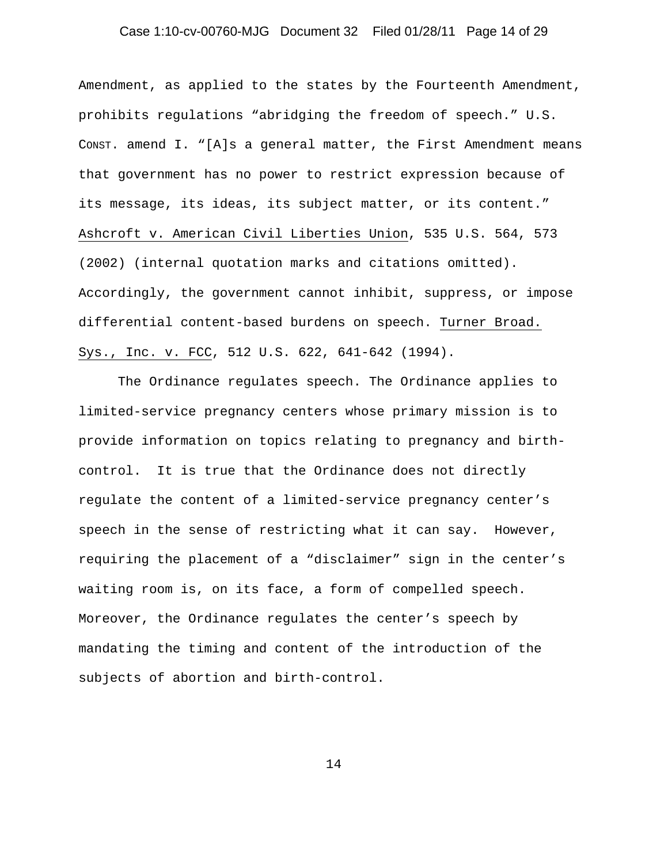# Case 1:10-cv-00760-MJG Document 32 Filed 01/28/11 Page 14 of 29

Amendment, as applied to the states by the Fourteenth Amendment, prohibits regulations "abridging the freedom of speech." U.S. CONST. amend I. "[A]s a general matter, the First Amendment means that government has no power to restrict expression because of its message, its ideas, its subject matter, or its content." Ashcroft v. American Civil Liberties Union, 535 U.S. 564, 573 (2002) (internal quotation marks and citations omitted). Accordingly, the government cannot inhibit, suppress, or impose differential content-based burdens on speech. Turner Broad. Sys., Inc. v. FCC, 512 U.S. 622, 641-642 (1994).

The Ordinance regulates speech. The Ordinance applies to limited-service pregnancy centers whose primary mission is to provide information on topics relating to pregnancy and birthcontrol. It is true that the Ordinance does not directly regulate the content of a limited-service pregnancy center's speech in the sense of restricting what it can say. However, requiring the placement of a "disclaimer" sign in the center's waiting room is, on its face, a form of compelled speech. Moreover, the Ordinance regulates the center's speech by mandating the timing and content of the introduction of the subjects of abortion and birth-control.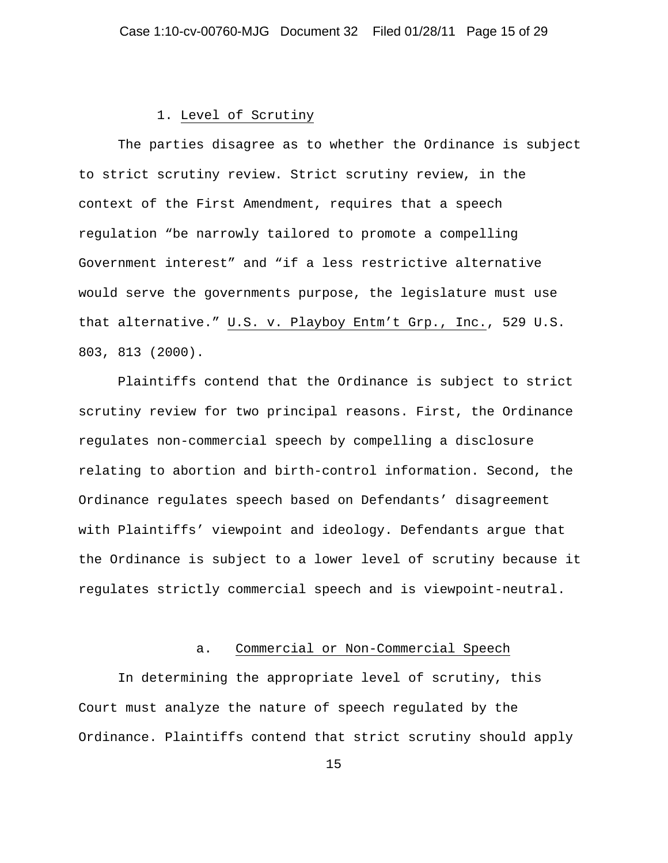#### 1. Level of Scrutiny

The parties disagree as to whether the Ordinance is subject to strict scrutiny review. Strict scrutiny review, in the context of the First Amendment, requires that a speech regulation "be narrowly tailored to promote a compelling Government interest" and "if a less restrictive alternative would serve the governments purpose, the legislature must use that alternative." U.S. v. Playboy Entm't Grp., Inc., 529 U.S. 803, 813 (2000).

Plaintiffs contend that the Ordinance is subject to strict scrutiny review for two principal reasons. First, the Ordinance regulates non-commercial speech by compelling a disclosure relating to abortion and birth-control information. Second, the Ordinance regulates speech based on Defendants' disagreement with Plaintiffs' viewpoint and ideology. Defendants argue that the Ordinance is subject to a lower level of scrutiny because it regulates strictly commercial speech and is viewpoint-neutral.

#### a. Commercial or Non-Commercial Speech

 In determining the appropriate level of scrutiny, this Court must analyze the nature of speech regulated by the Ordinance. Plaintiffs contend that strict scrutiny should apply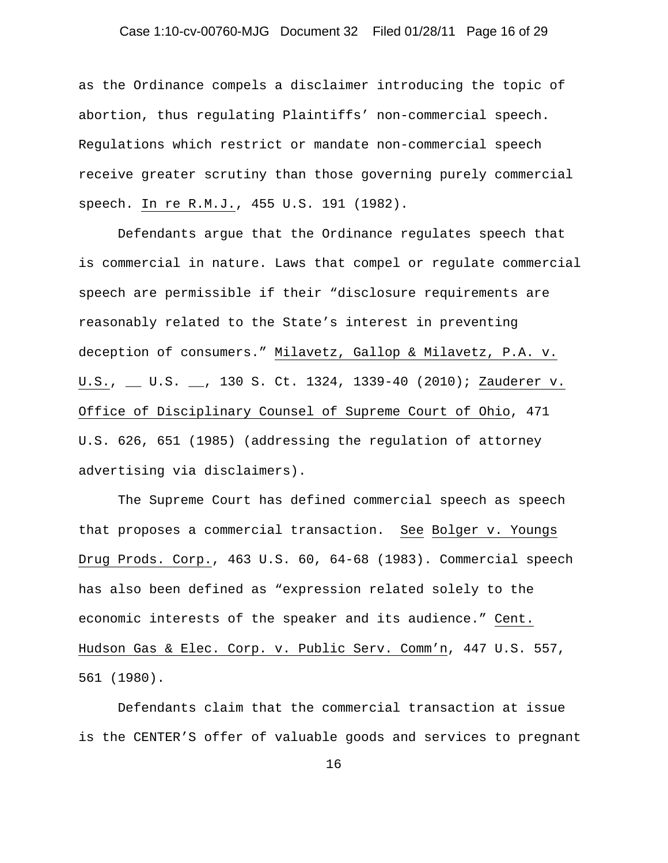# Case 1:10-cv-00760-MJG Document 32 Filed 01/28/11 Page 16 of 29

as the Ordinance compels a disclaimer introducing the topic of abortion, thus regulating Plaintiffs' non-commercial speech. Regulations which restrict or mandate non-commercial speech receive greater scrutiny than those governing purely commercial speech. In re R.M.J., 455 U.S. 191 (1982).

Defendants argue that the Ordinance regulates speech that is commercial in nature. Laws that compel or regulate commercial speech are permissible if their "disclosure requirements are reasonably related to the State's interest in preventing deception of consumers." Milavetz, Gallop & Milavetz, P.A. v. U.S., \_\_ U.S. \_\_, 130 S. Ct. 1324, 1339-40 (2010); Zauderer v. Office of Disciplinary Counsel of Supreme Court of Ohio, 471 U.S. 626, 651 (1985) (addressing the regulation of attorney advertising via disclaimers).

The Supreme Court has defined commercial speech as speech that proposes a commercial transaction. See Bolger v. Youngs Drug Prods. Corp., 463 U.S. 60, 64-68 (1983). Commercial speech has also been defined as "expression related solely to the economic interests of the speaker and its audience." Cent. Hudson Gas & Elec. Corp. v. Public Serv. Comm'n, 447 U.S. 557, 561 (1980).

Defendants claim that the commercial transaction at issue is the CENTER'S offer of valuable goods and services to pregnant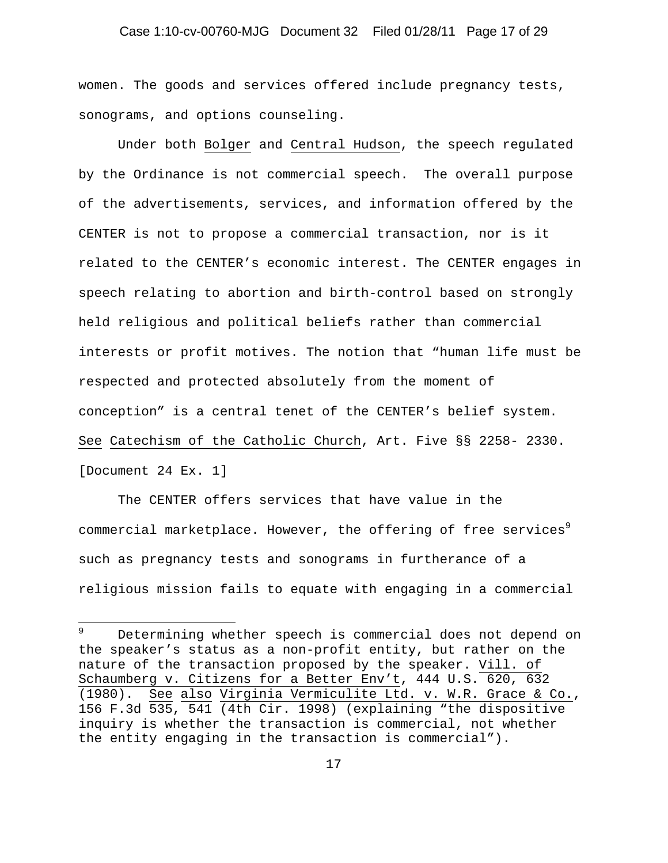# Case 1:10-cv-00760-MJG Document 32 Filed 01/28/11 Page 17 of 29

women. The goods and services offered include pregnancy tests, sonograms, and options counseling.

Under both Bolger and Central Hudson, the speech regulated by the Ordinance is not commercial speech. The overall purpose of the advertisements, services, and information offered by the CENTER is not to propose a commercial transaction, nor is it related to the CENTER's economic interest. The CENTER engages in speech relating to abortion and birth-control based on strongly held religious and political beliefs rather than commercial interests or profit motives. The notion that "human life must be respected and protected absolutely from the moment of conception" is a central tenet of the CENTER's belief system. See Catechism of the Catholic Church, Art. Five §§ 2258- 2330. [Document 24 Ex. 1]

The CENTER offers services that have value in the commercial marketplace. However, the offering of free services<sup>9</sup> such as pregnancy tests and sonograms in furtherance of a religious mission fails to equate with engaging in a commercial

 9 Determining whether speech is commercial does not depend on the speaker's status as a non-profit entity, but rather on the nature of the transaction proposed by the speaker. Vill. of Schaumberg v. Citizens for a Better Env't, 444 U.S. 620, 632 (1980). See also Virginia Vermiculite Ltd. v. W.R. Grace & Co., 156 F.3d 535, 541 (4th Cir. 1998) (explaining "the dispositive inquiry is whether the transaction is commercial, not whether the entity engaging in the transaction is commercial").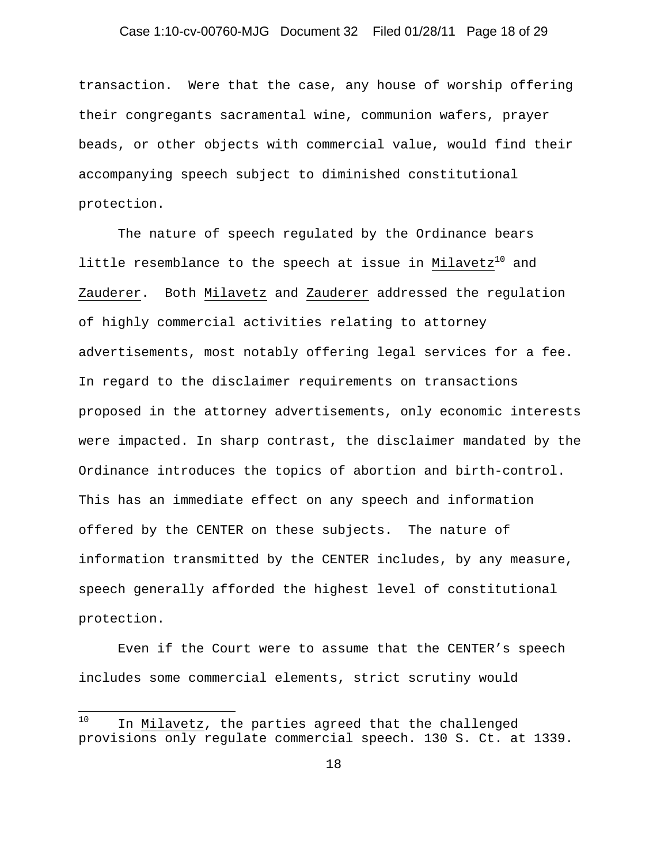# Case 1:10-cv-00760-MJG Document 32 Filed 01/28/11 Page 18 of 29

transaction. Were that the case, any house of worship offering their congregants sacramental wine, communion wafers, prayer beads, or other objects with commercial value, would find their accompanying speech subject to diminished constitutional protection.

The nature of speech regulated by the Ordinance bears little resemblance to the speech at issue in Milavetz<sup>10</sup> and Zauderer. Both Milavetz and Zauderer addressed the regulation of highly commercial activities relating to attorney advertisements, most notably offering legal services for a fee. In regard to the disclaimer requirements on transactions proposed in the attorney advertisements, only economic interests were impacted. In sharp contrast, the disclaimer mandated by the Ordinance introduces the topics of abortion and birth-control. This has an immediate effect on any speech and information offered by the CENTER on these subjects. The nature of information transmitted by the CENTER includes, by any measure, speech generally afforded the highest level of constitutional protection.

Even if the Court were to assume that the CENTER's speech includes some commercial elements, strict scrutiny would

 $10<sup>1</sup>$ In Milavetz, the parties agreed that the challenged provisions only regulate commercial speech. 130 S. Ct. at 1339.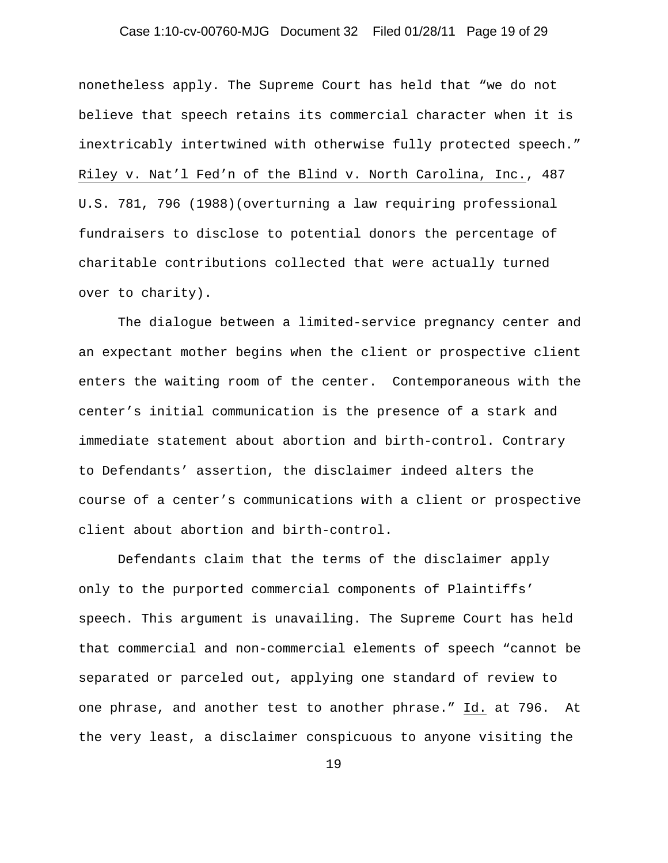# Case 1:10-cv-00760-MJG Document 32 Filed 01/28/11 Page 19 of 29

nonetheless apply. The Supreme Court has held that "we do not believe that speech retains its commercial character when it is inextricably intertwined with otherwise fully protected speech." Riley v. Nat'l Fed'n of the Blind v. North Carolina, Inc., 487 U.S. 781, 796 (1988)(overturning a law requiring professional fundraisers to disclose to potential donors the percentage of charitable contributions collected that were actually turned over to charity).

The dialogue between a limited-service pregnancy center and an expectant mother begins when the client or prospective client enters the waiting room of the center. Contemporaneous with the center's initial communication is the presence of a stark and immediate statement about abortion and birth-control. Contrary to Defendants' assertion, the disclaimer indeed alters the course of a center's communications with a client or prospective client about abortion and birth-control.

Defendants claim that the terms of the disclaimer apply only to the purported commercial components of Plaintiffs' speech. This argument is unavailing. The Supreme Court has held that commercial and non-commercial elements of speech "cannot be separated or parceled out, applying one standard of review to one phrase, and another test to another phrase." Id. at 796. At the very least, a disclaimer conspicuous to anyone visiting the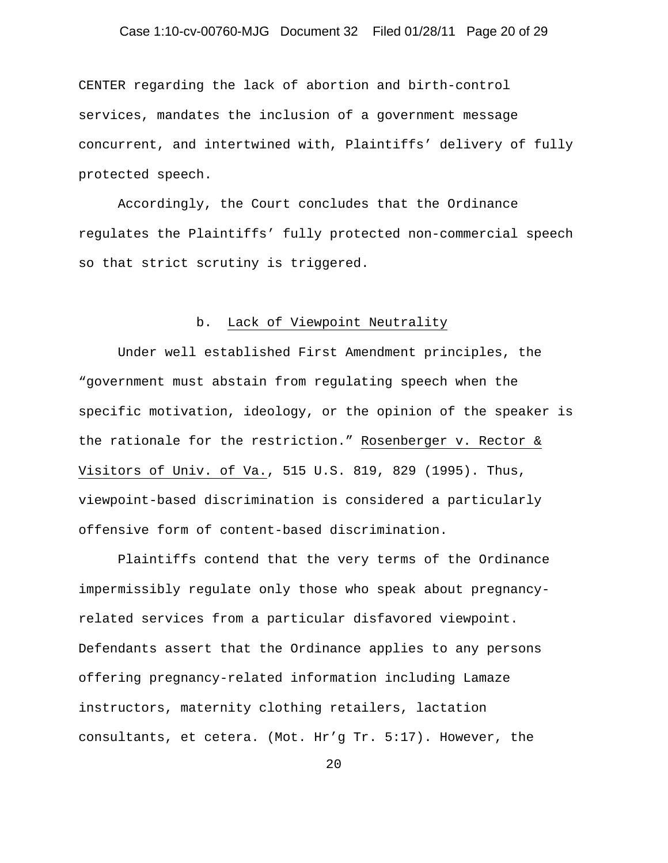# Case 1:10-cv-00760-MJG Document 32 Filed 01/28/11 Page 20 of 29

CENTER regarding the lack of abortion and birth-control services, mandates the inclusion of a government message concurrent, and intertwined with, Plaintiffs' delivery of fully protected speech.

Accordingly, the Court concludes that the Ordinance regulates the Plaintiffs' fully protected non-commercial speech so that strict scrutiny is triggered.

#### b. Lack of Viewpoint Neutrality

Under well established First Amendment principles, the "government must abstain from regulating speech when the specific motivation, ideology, or the opinion of the speaker is the rationale for the restriction." Rosenberger v. Rector & Visitors of Univ. of Va., 515 U.S. 819, 829 (1995). Thus, viewpoint-based discrimination is considered a particularly offensive form of content-based discrimination.

Plaintiffs contend that the very terms of the Ordinance impermissibly regulate only those who speak about pregnancyrelated services from a particular disfavored viewpoint. Defendants assert that the Ordinance applies to any persons offering pregnancy-related information including Lamaze instructors, maternity clothing retailers, lactation consultants, et cetera. (Mot. Hr'g Tr. 5:17). However, the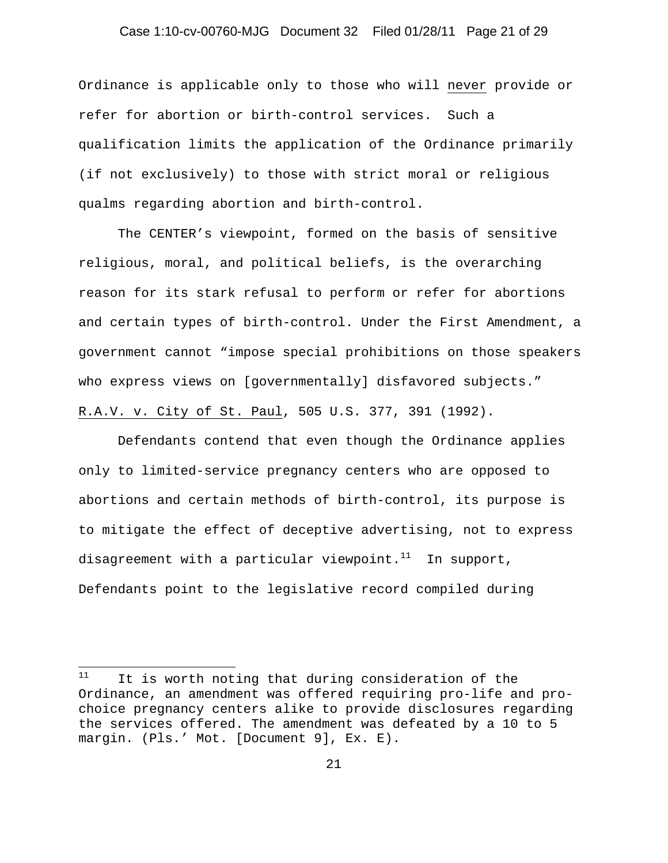# Case 1:10-cv-00760-MJG Document 32 Filed 01/28/11 Page 21 of 29

Ordinance is applicable only to those who will never provide or refer for abortion or birth-control services. Such a qualification limits the application of the Ordinance primarily (if not exclusively) to those with strict moral or religious qualms regarding abortion and birth-control.

The CENTER's viewpoint, formed on the basis of sensitive religious, moral, and political beliefs, is the overarching reason for its stark refusal to perform or refer for abortions and certain types of birth-control. Under the First Amendment, a government cannot "impose special prohibitions on those speakers who express views on [governmentally] disfavored subjects." R.A.V. v. City of St. Paul, 505 U.S. 377, 391 (1992).

Defendants contend that even though the Ordinance applies only to limited-service pregnancy centers who are opposed to abortions and certain methods of birth-control, its purpose is to mitigate the effect of deceptive advertising, not to express disagreement with a particular viewpoint. $11$  In support, Defendants point to the legislative record compiled during

 $\overline{a}$ 

 $11$  It is worth noting that during consideration of the Ordinance, an amendment was offered requiring pro-life and prochoice pregnancy centers alike to provide disclosures regarding the services offered. The amendment was defeated by a 10 to 5 margin. (Pls.' Mot. [Document 9], Ex. E).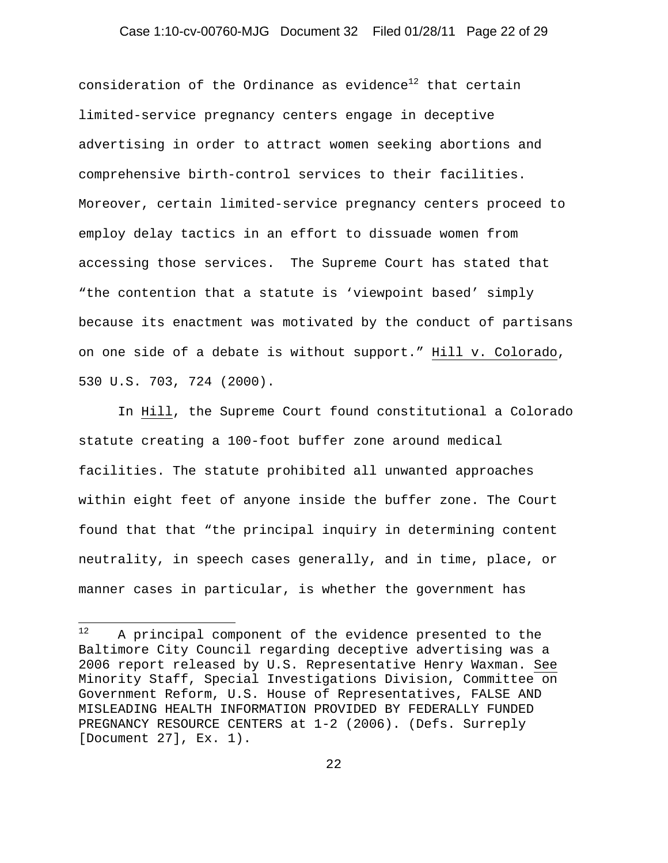# Case 1:10-cv-00760-MJG Document 32 Filed 01/28/11 Page 22 of 29

consideration of the Ordinance as evidence<sup>12</sup> that certain limited-service pregnancy centers engage in deceptive advertising in order to attract women seeking abortions and comprehensive birth-control services to their facilities. Moreover, certain limited-service pregnancy centers proceed to employ delay tactics in an effort to dissuade women from accessing those services. The Supreme Court has stated that "the contention that a statute is 'viewpoint based' simply because its enactment was motivated by the conduct of partisans on one side of a debate is without support." Hill v. Colorado, 530 U.S. 703, 724 (2000).

In Hill, the Supreme Court found constitutional a Colorado statute creating a 100-foot buffer zone around medical facilities. The statute prohibited all unwanted approaches within eight feet of anyone inside the buffer zone. The Court found that that "the principal inquiry in determining content neutrality, in speech cases generally, and in time, place, or manner cases in particular, is whether the government has

 $12$ A principal component of the evidence presented to the Baltimore City Council regarding deceptive advertising was a 2006 report released by U.S. Representative Henry Waxman. See Minority Staff, Special Investigations Division, Committee on Government Reform, U.S. House of Representatives, FALSE AND MISLEADING HEALTH INFORMATION PROVIDED BY FEDERALLY FUNDED PREGNANCY RESOURCE CENTERS at 1-2 (2006). (Defs. Surreply [Document 27], Ex. 1).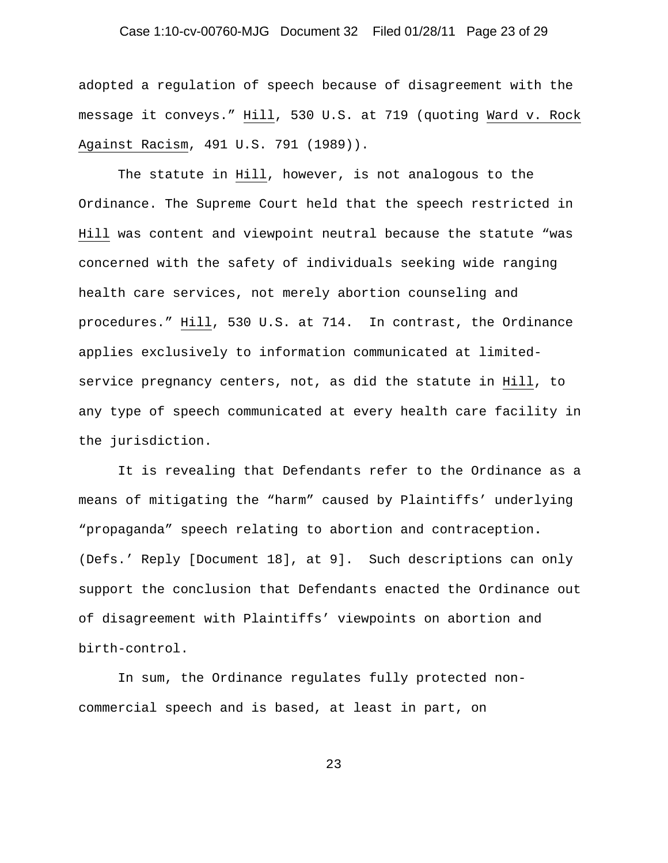# Case 1:10-cv-00760-MJG Document 32 Filed 01/28/11 Page 23 of 29

adopted a regulation of speech because of disagreement with the message it conveys." Hill, 530 U.S. at 719 (quoting Ward v. Rock Against Racism, 491 U.S. 791 (1989)).

 The statute in Hill, however, is not analogous to the Ordinance. The Supreme Court held that the speech restricted in Hill was content and viewpoint neutral because the statute "was concerned with the safety of individuals seeking wide ranging health care services, not merely abortion counseling and procedures." Hill, 530 U.S. at 714. In contrast, the Ordinance applies exclusively to information communicated at limitedservice pregnancy centers, not, as did the statute in Hill, to any type of speech communicated at every health care facility in the jurisdiction.

It is revealing that Defendants refer to the Ordinance as a means of mitigating the "harm" caused by Plaintiffs' underlying "propaganda" speech relating to abortion and contraception**.** (Defs.' Reply [Document 18], at 9]. Such descriptions can only support the conclusion that Defendants enacted the Ordinance out of disagreement with Plaintiffs' viewpoints on abortion and birth-control.

 In sum, the Ordinance regulates fully protected noncommercial speech and is based, at least in part, on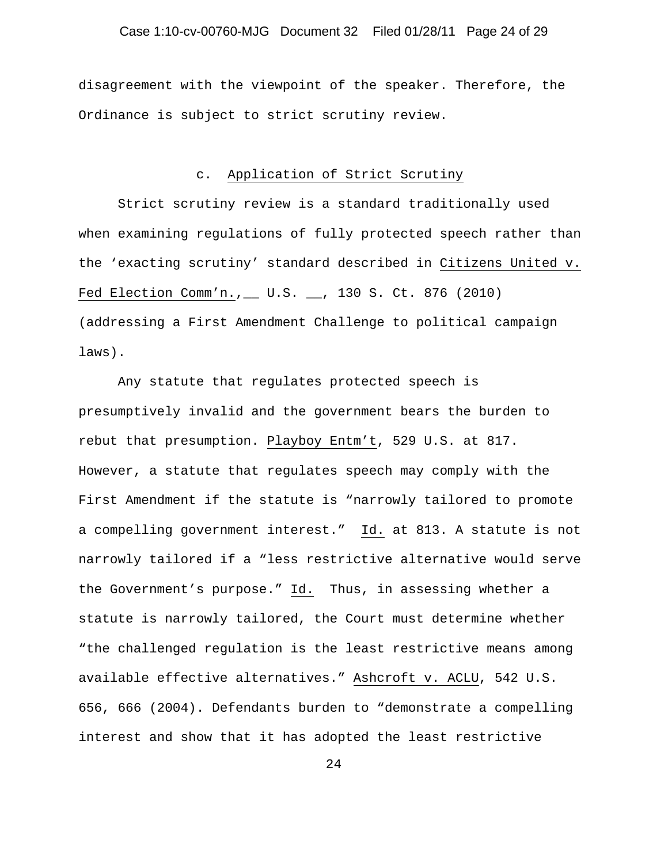# Case 1:10-cv-00760-MJG Document 32 Filed 01/28/11 Page 24 of 29

disagreement with the viewpoint of the speaker. Therefore, the Ordinance is subject to strict scrutiny review.

#### c. Application of Strict Scrutiny

Strict scrutiny review is a standard traditionally used when examining regulations of fully protected speech rather than the 'exacting scrutiny' standard described in Citizens United v. Fed Election Comm'n., \_\_ U.S. \_\_, 130 S. Ct. 876 (2010) (addressing a First Amendment Challenge to political campaign laws).

Any statute that regulates protected speech is presumptively invalid and the government bears the burden to rebut that presumption. Playboy Entm't, 529 U.S. at 817. However, a statute that regulates speech may comply with the First Amendment if the statute is "narrowly tailored to promote a compelling government interest." Id. at 813. A statute is not narrowly tailored if a "less restrictive alternative would serve the Government's purpose." Id. Thus, in assessing whether a statute is narrowly tailored, the Court must determine whether "the challenged regulation is the least restrictive means among available effective alternatives." Ashcroft v. ACLU, 542 U.S. 656, 666 (2004). Defendants burden to "demonstrate a compelling interest and show that it has adopted the least restrictive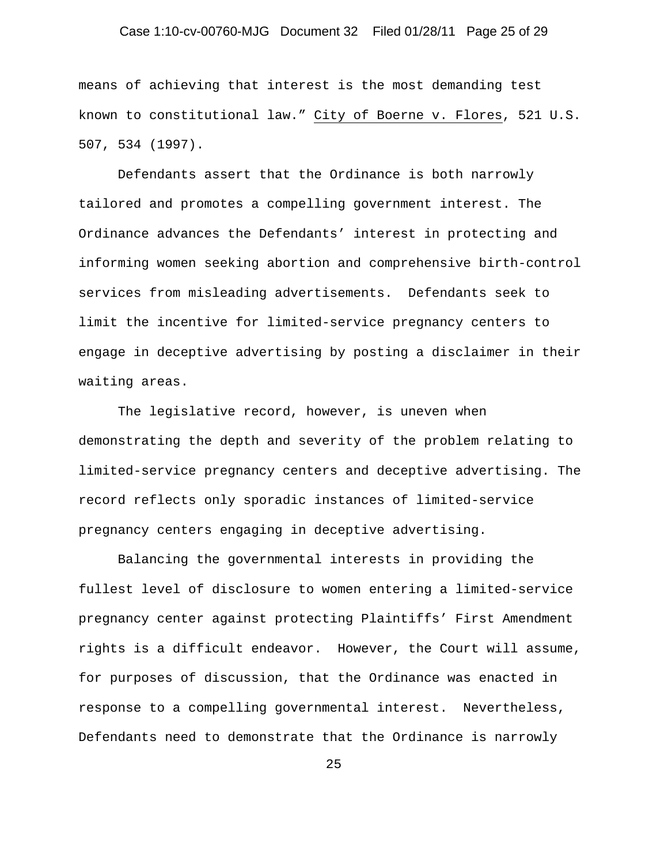# Case 1:10-cv-00760-MJG Document 32 Filed 01/28/11 Page 25 of 29

means of achieving that interest is the most demanding test known to constitutional law." City of Boerne v. Flores, 521 U.S. 507, 534 (1997).

 Defendants assert that the Ordinance is both narrowly tailored and promotes a compelling government interest. The Ordinance advances the Defendants' interest in protecting and informing women seeking abortion and comprehensive birth-control services from misleading advertisements. Defendants seek to limit the incentive for limited-service pregnancy centers to engage in deceptive advertising by posting a disclaimer in their waiting areas.

The legislative record, however, is uneven when demonstrating the depth and severity of the problem relating to limited-service pregnancy centers and deceptive advertising. The record reflects only sporadic instances of limited-service pregnancy centers engaging in deceptive advertising.

Balancing the governmental interests in providing the fullest level of disclosure to women entering a limited-service pregnancy center against protecting Plaintiffs' First Amendment rights is a difficult endeavor. However, the Court will assume, for purposes of discussion, that the Ordinance was enacted in response to a compelling governmental interest. Nevertheless, Defendants need to demonstrate that the Ordinance is narrowly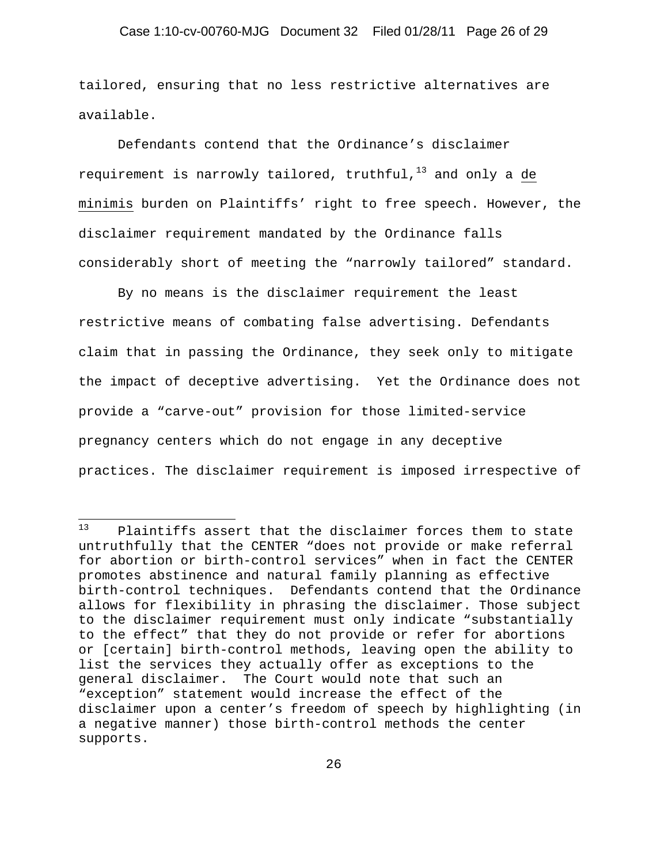tailored, ensuring that no less restrictive alternatives are available.

Defendants contend that the Ordinance's disclaimer requirement is narrowly tailored, truthful, $13$  and only a de minimis burden on Plaintiffs' right to free speech. However, the disclaimer requirement mandated by the Ordinance falls considerably short of meeting the "narrowly tailored" standard.

By no means is the disclaimer requirement the least restrictive means of combating false advertising. Defendants claim that in passing the Ordinance, they seek only to mitigate the impact of deceptive advertising. Yet the Ordinance does not provide a "carve-out" provision for those limited-service pregnancy centers which do not engage in any deceptive practices. The disclaimer requirement is imposed irrespective of

 $13$ Plaintiffs assert that the disclaimer forces them to state untruthfully that the CENTER "does not provide or make referral for abortion or birth-control services" when in fact the CENTER promotes abstinence and natural family planning as effective birth-control techniques. Defendants contend that the Ordinance allows for flexibility in phrasing the disclaimer. Those subject to the disclaimer requirement must only indicate "substantially to the effect" that they do not provide or refer for abortions or [certain] birth-control methods, leaving open the ability to list the services they actually offer as exceptions to the general disclaimer. The Court would note that such an "exception" statement would increase the effect of the disclaimer upon a center's freedom of speech by highlighting (in a negative manner) those birth-control methods the center supports.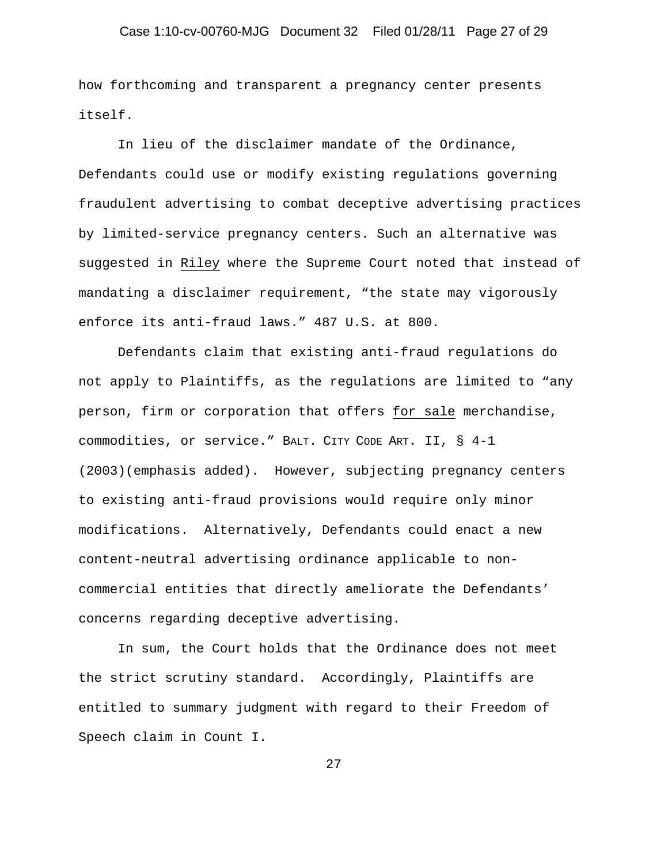# Case 1:10-cv-00760-MJG Document 32 Filed 01/28/11 Page 27 of 29

how forthcoming and transparent a pregnancy center presents itself.

 In lieu of the disclaimer mandate of the Ordinance, Defendants could use or modify existing regulations governing fraudulent advertising to combat deceptive advertising practices by limited-service pregnancy centers. Such an alternative was suggested in Riley where the Supreme Court noted that instead of mandating a disclaimer requirement, "the state may vigorously enforce its anti-fraud laws." 487 U.S. at 800.

Defendants claim that existing anti-fraud regulations do not apply to Plaintiffs, as the regulations are limited to "any person, firm or corporation that offers for sale merchandise, commodities, or service." BALT. CITY CODE ART. II, § 4-1 (2003)(emphasis added). However, subjecting pregnancy centers to existing anti-fraud provisions would require only minor modifications. Alternatively, Defendants could enact a new content-neutral advertising ordinance applicable to noncommercial entities that directly ameliorate the Defendants' concerns regarding deceptive advertising.

In sum, the Court holds that the Ordinance does not meet the strict scrutiny standard. Accordingly, Plaintiffs are entitled to summary judgment with regard to their Freedom of Speech claim in Count I.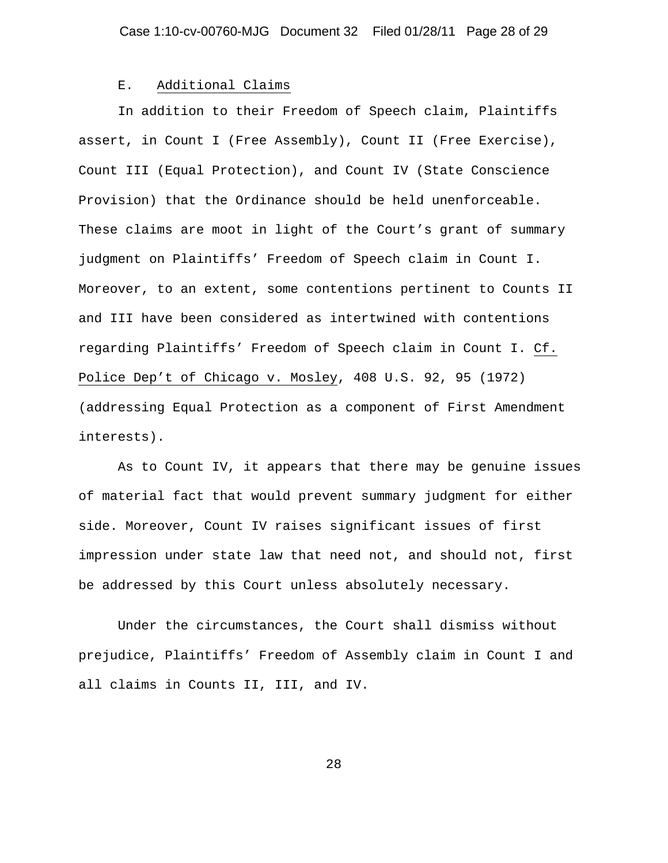#### E. Additional Claims

In addition to their Freedom of Speech claim, Plaintiffs assert, in Count I (Free Assembly), Count II (Free Exercise), Count III (Equal Protection), and Count IV (State Conscience Provision) that the Ordinance should be held unenforceable. These claims are moot in light of the Court's grant of summary judgment on Plaintiffs' Freedom of Speech claim in Count I. Moreover, to an extent, some contentions pertinent to Counts II and III have been considered as intertwined with contentions regarding Plaintiffs' Freedom of Speech claim in Count I. Cf. Police Dep't of Chicago v. Mosley, 408 U.S. 92, 95 (1972) (addressing Equal Protection as a component of First Amendment interests).

As to Count IV, it appears that there may be genuine issues of material fact that would prevent summary judgment for either side. Moreover, Count IV raises significant issues of first impression under state law that need not, and should not, first be addressed by this Court unless absolutely necessary.

Under the circumstances, the Court shall dismiss without prejudice, Plaintiffs' Freedom of Assembly claim in Count I and all claims in Counts II, III, and IV.